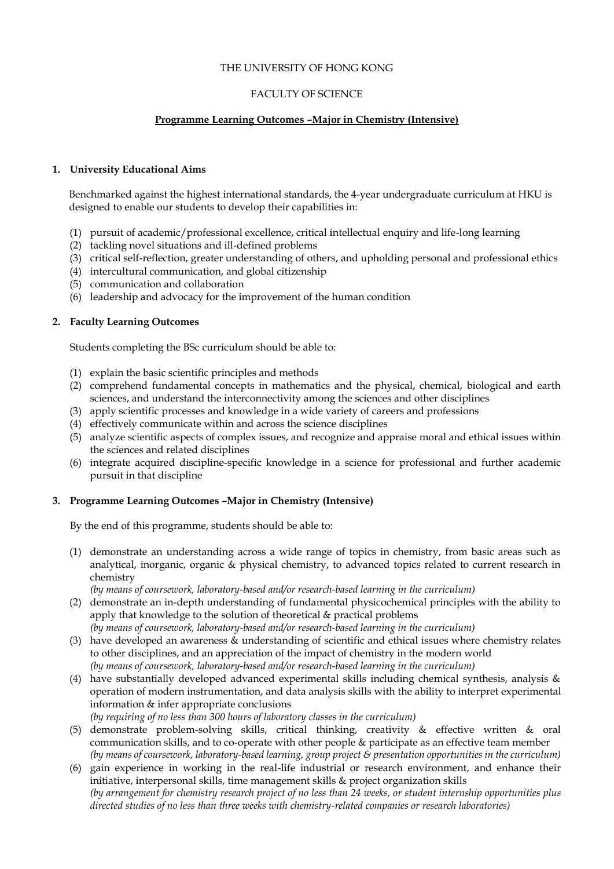## THE UNIVERSITY OF HONG KONG

### FACULTY OF SCIENCE

# **Programme Learning Outcomes –Major in Chemistry (Intensive)**

#### **1. University Educational Aims**

Benchmarked against the highest international standards, the 4-year undergraduate curriculum at HKU is designed to enable our students to develop their capabilities in:

- (1) pursuit of academic/professional excellence, critical intellectual enquiry and life-long learning
- (2) tackling novel situations and ill-defined problems
- (3) critical self-reflection, greater understanding of others, and upholding personal and professional ethics
- (4) intercultural communication, and global citizenship
- (5) communication and collaboration
- (6) leadership and advocacy for the improvement of the human condition

# **2. Faculty Learning Outcomes**

Students completing the BSc curriculum should be able to:

- (1) explain the basic scientific principles and methods
- (2) comprehend fundamental concepts in mathematics and the physical, chemical, biological and earth sciences, and understand the interconnectivity among the sciences and other disciplines
- (3) apply scientific processes and knowledge in a wide variety of careers and professions
- (4) effectively communicate within and across the science disciplines
- (5) analyze scientific aspects of complex issues, and recognize and appraise moral and ethical issues within the sciences and related disciplines
- (6) integrate acquired discipline-specific knowledge in a science for professional and further academic pursuit in that discipline

#### **3. Programme Learning Outcomes –Major in Chemistry (Intensive)**

By the end of this programme, students should be able to:

(1) demonstrate an understanding across a wide range of topics in chemistry, from basic areas such as analytical, inorganic, organic & physical chemistry, to advanced topics related to current research in chemistry

*(by means of coursework, laboratory-based and/or research-based learning in the curriculum)*

- (2) demonstrate an in-depth understanding of fundamental physicochemical principles with the ability to apply that knowledge to the solution of theoretical & practical problems *(by means of coursework, laboratory-based and/or research-based learning in the curriculum)*
- (3) have developed an awareness & understanding of scientific and ethical issues where chemistry relates to other disciplines, and an appreciation of the impact of chemistry in the modern world *(by means of coursework, laboratory-based and/or research-based learning in the curriculum)*
- (4) have substantially developed advanced experimental skills including chemical synthesis, analysis & operation of modern instrumentation, and data analysis skills with the ability to interpret experimental information & infer appropriate conclusions *(by requiring of no less than 300 hours of laboratory classes in the curriculum)*
- (5) demonstrate problem-solving skills, critical thinking, creativity & effective written & oral communication skills, and to co-operate with other people & participate as an effective team member *(by means of coursework, laboratory-based learning, group project & presentation opportunities in the curriculum)*
- (6) gain experience in working in the real-life industrial or research environment, and enhance their initiative, interpersonal skills, time management skills & project organization skills *(by arrangement for chemistry research project of no less than 24 weeks, or student internship opportunities plus directed studies of no less than three weeks with chemistry-related companies or research laboratories)*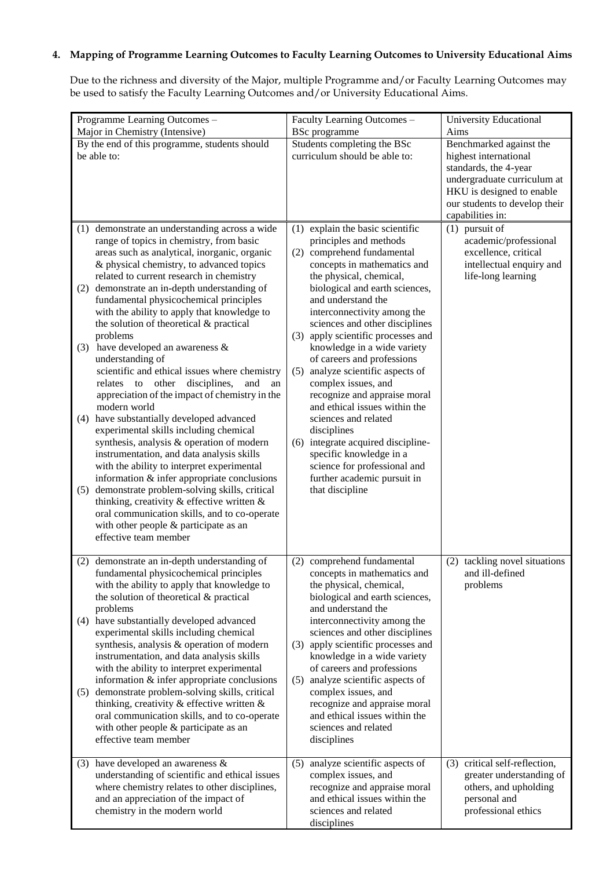# **4. Mapping of Programme Learning Outcomes to Faculty Learning Outcomes to University Educational Aims**

Due to the richness and diversity of the Major, multiple Programme and/or Faculty Learning Outcomes may be used to satisfy the Faculty Learning Outcomes and/or University Educational Aims.

| Programme Learning Outcomes -<br>Major in Chemistry (Intensive)                                                                                                                                                                                                                                                                                                                                                                                                                                                                                                                                                                                                                                                                                                                                                                                                                                                                                                                                                                                                                                                                                                                     | Faculty Learning Outcomes -<br><b>BSc</b> programme                                                                                                                                                                                                                                                                                                                                                                                                                                                                                                                                                                                                                                                         | <b>University Educational</b><br>Aims                                                                                                                                                      |
|-------------------------------------------------------------------------------------------------------------------------------------------------------------------------------------------------------------------------------------------------------------------------------------------------------------------------------------------------------------------------------------------------------------------------------------------------------------------------------------------------------------------------------------------------------------------------------------------------------------------------------------------------------------------------------------------------------------------------------------------------------------------------------------------------------------------------------------------------------------------------------------------------------------------------------------------------------------------------------------------------------------------------------------------------------------------------------------------------------------------------------------------------------------------------------------|-------------------------------------------------------------------------------------------------------------------------------------------------------------------------------------------------------------------------------------------------------------------------------------------------------------------------------------------------------------------------------------------------------------------------------------------------------------------------------------------------------------------------------------------------------------------------------------------------------------------------------------------------------------------------------------------------------------|--------------------------------------------------------------------------------------------------------------------------------------------------------------------------------------------|
| By the end of this programme, students should<br>be able to:                                                                                                                                                                                                                                                                                                                                                                                                                                                                                                                                                                                                                                                                                                                                                                                                                                                                                                                                                                                                                                                                                                                        | Students completing the BSc<br>curriculum should be able to:                                                                                                                                                                                                                                                                                                                                                                                                                                                                                                                                                                                                                                                | Benchmarked against the<br>highest international<br>standards, the 4-year<br>undergraduate curriculum at<br>HKU is designed to enable<br>our students to develop their<br>capabilities in: |
| (1) demonstrate an understanding across a wide<br>range of topics in chemistry, from basic<br>areas such as analytical, inorganic, organic<br>& physical chemistry, to advanced topics<br>related to current research in chemistry<br>(2) demonstrate an in-depth understanding of<br>fundamental physicochemical principles<br>with the ability to apply that knowledge to<br>the solution of theoretical & practical<br>problems<br>have developed an awareness &<br>(3)<br>understanding of<br>scientific and ethical issues where chemistry<br>relates<br>to<br>other<br>disciplines,<br>and<br>an<br>appreciation of the impact of chemistry in the<br>modern world<br>(4) have substantially developed advanced<br>experimental skills including chemical<br>synthesis, analysis & operation of modern<br>instrumentation, and data analysis skills<br>with the ability to interpret experimental<br>information & infer appropriate conclusions<br>demonstrate problem-solving skills, critical<br>(5)<br>thinking, creativity $\&$ effective written $\&$<br>oral communication skills, and to co-operate<br>with other people & participate as an<br>effective team member | (1) explain the basic scientific<br>principles and methods<br>comprehend fundamental<br>(2)<br>concepts in mathematics and<br>the physical, chemical,<br>biological and earth sciences,<br>and understand the<br>interconnectivity among the<br>sciences and other disciplines<br>(3) apply scientific processes and<br>knowledge in a wide variety<br>of careers and professions<br>analyze scientific aspects of<br>(5)<br>complex issues, and<br>recognize and appraise moral<br>and ethical issues within the<br>sciences and related<br>disciplines<br>(6) integrate acquired discipline-<br>specific knowledge in a<br>science for professional and<br>further academic pursuit in<br>that discipline | $(1)$ pursuit of<br>academic/professional<br>excellence, critical<br>intellectual enquiry and<br>life-long learning                                                                        |
| (2) demonstrate an in-depth understanding of<br>fundamental physicochemical principles<br>with the ability to apply that knowledge to<br>the solution of theoretical & practical<br>problems<br>(4) have substantially developed advanced<br>experimental skills including chemical<br>synthesis, analysis & operation of modern<br>instrumentation, and data analysis skills<br>with the ability to interpret experimental<br>information $&$ infer appropriate conclusions<br>demonstrate problem-solving skills, critical<br>(5)<br>thinking, creativity $\&$ effective written $\&$<br>oral communication skills, and to co-operate<br>with other people & participate as an<br>effective team member                                                                                                                                                                                                                                                                                                                                                                                                                                                                           | (2) comprehend fundamental<br>concepts in mathematics and<br>the physical, chemical,<br>biological and earth sciences,<br>and understand the<br>interconnectivity among the<br>sciences and other disciplines<br>apply scientific processes and<br>(3)<br>knowledge in a wide variety<br>of careers and professions<br>analyze scientific aspects of<br>(5)<br>complex issues, and<br>recognize and appraise moral<br>and ethical issues within the<br>sciences and related<br>disciplines                                                                                                                                                                                                                  | (2) tackling novel situations<br>and ill-defined<br>problems                                                                                                                               |
| (3) have developed an awareness $\&$<br>understanding of scientific and ethical issues<br>where chemistry relates to other disciplines,<br>and an appreciation of the impact of<br>chemistry in the modern world                                                                                                                                                                                                                                                                                                                                                                                                                                                                                                                                                                                                                                                                                                                                                                                                                                                                                                                                                                    | (5) analyze scientific aspects of<br>complex issues, and<br>recognize and appraise moral<br>and ethical issues within the<br>sciences and related<br>disciplines                                                                                                                                                                                                                                                                                                                                                                                                                                                                                                                                            | (3) critical self-reflection,<br>greater understanding of<br>others, and upholding<br>personal and<br>professional ethics                                                                  |